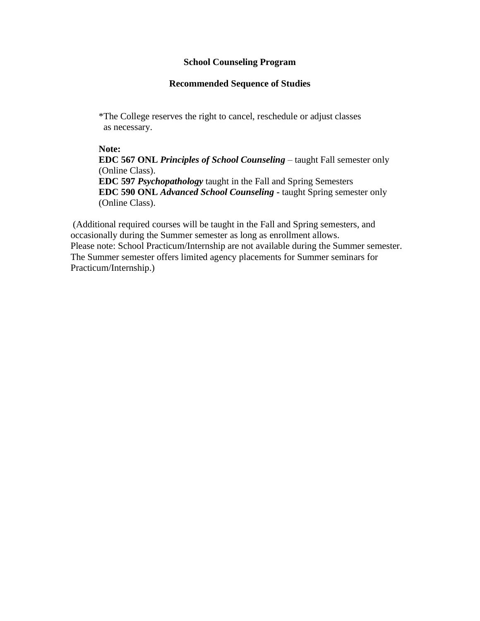### **School Counseling Program**

### **Recommended Sequence of Studies**

\*The College reserves the right to cancel, reschedule or adjust classes as necessary.

#### **Note:**

**EDC 567 ONL** *Principles of School Counseling* – taught Fall semester only (Online Class). **EDC 597** *Psychopathology* taught in the Fall and Spring Semesters **EDC 590 ONL** *Advanced School Counseling* **-** taught Spring semester only (Online Class).

(Additional required courses will be taught in the Fall and Spring semesters, and occasionally during the Summer semester as long as enrollment allows. Please note: School Practicum/Internship are not available during the Summer semester. The Summer semester offers limited agency placements for Summer seminars for Practicum/Internship.)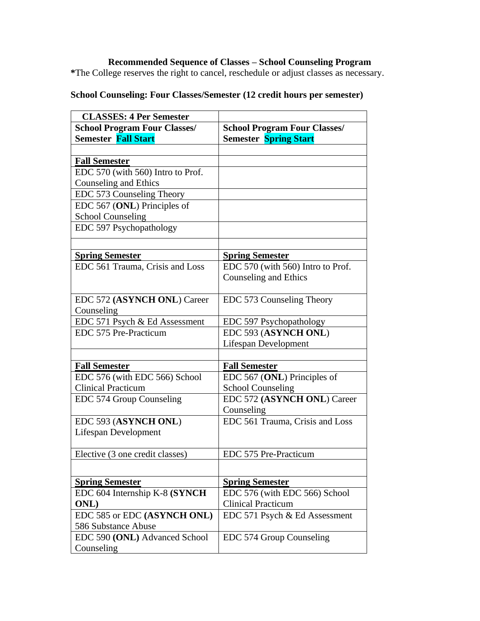## **Recommended Sequence of Classes – School Counseling Program**

**\***The College reserves the right to cancel, reschedule or adjust classes as necessary.

# **School Counseling: Four Classes/Semester (12 credit hours per semester)**

| <b>CLASSES: 4 Per Semester</b>      |                                     |
|-------------------------------------|-------------------------------------|
| <b>School Program Four Classes/</b> | <b>School Program Four Classes/</b> |
| <b>Semester Fall Start</b>          | <b>Semester Spring Start</b>        |
|                                     |                                     |
| <b>Fall Semester</b>                |                                     |
| EDC 570 (with 560) Intro to Prof.   |                                     |
| Counseling and Ethics               |                                     |
| EDC 573 Counseling Theory           |                                     |
| EDC 567 (ONL) Principles of         |                                     |
| <b>School Counseling</b>            |                                     |
| EDC 597 Psychopathology             |                                     |
|                                     |                                     |
| <b>Spring Semester</b>              | <b>Spring Semester</b>              |
| EDC 561 Trauma, Crisis and Loss     | EDC 570 (with 560) Intro to Prof.   |
|                                     | <b>Counseling and Ethics</b>        |
| EDC 572 (ASYNCH ONL) Career         | EDC 573 Counseling Theory           |
| Counseling                          |                                     |
| EDC 571 Psych & Ed Assessment       | EDC 597 Psychopathology             |
| EDC 575 Pre-Practicum               | EDC 593 (ASYNCH ONL)                |
|                                     | Lifespan Development                |
|                                     |                                     |
| <b>Fall Semester</b>                | <b>Fall Semester</b>                |
| EDC 576 (with EDC 566) School       | EDC 567 (ONL) Principles of         |
| <b>Clinical Practicum</b>           | <b>School Counseling</b>            |
| EDC 574 Group Counseling            | EDC 572 (ASYNCH ONL) Career         |
|                                     | Counseling                          |
| EDC 593 (ASYNCH ONL)                | EDC 561 Trauma, Crisis and Loss     |
| <b>Lifespan Development</b>         |                                     |
| Elective (3 one credit classes)     | EDC 575 Pre-Practicum               |
|                                     |                                     |
| <b>Spring Semester</b>              | <b>Spring Semester</b>              |
| EDC 604 Internship K-8 (SYNCH       | EDC 576 (with EDC 566) School       |
| <b>ONL</b> )                        | <b>Clinical Practicum</b>           |
| EDC 585 or EDC (ASYNCH ONL)         | EDC 571 Psych & Ed Assessment       |
| 586 Substance Abuse                 |                                     |
| EDC 590 (ONL) Advanced School       | EDC 574 Group Counseling            |
| Counseling                          |                                     |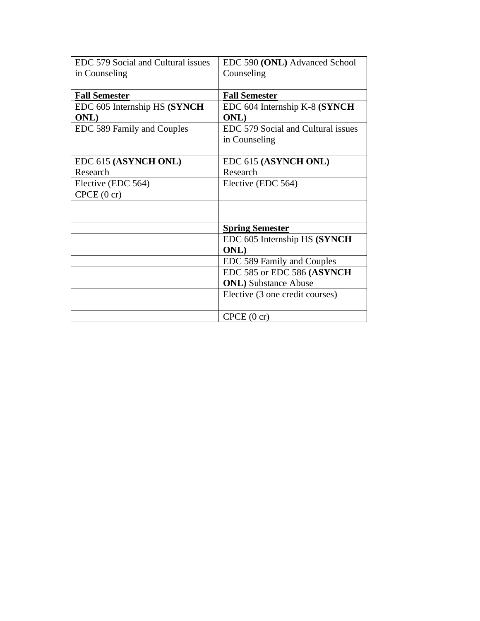| EDC 579 Social and Cultural issues | EDC 590 (ONL) Advanced School      |
|------------------------------------|------------------------------------|
| in Counseling                      | Counseling                         |
|                                    |                                    |
| <b>Fall Semester</b>               | <b>Fall Semester</b>               |
| EDC 605 Internship HS (SYNCH       | EDC 604 Internship K-8 (SYNCH      |
| <b>ONL</b> )                       | <b>ONL</b> )                       |
| EDC 589 Family and Couples         | EDC 579 Social and Cultural issues |
|                                    | in Counseling                      |
|                                    |                                    |
| EDC 615 (ASYNCH ONL)               | EDC 615 (ASYNCH ONL)               |
| Research                           | Research                           |
| Elective (EDC 564)                 | Elective (EDC 564)                 |
| C PCE (0 cr)                       |                                    |
|                                    |                                    |
|                                    |                                    |
|                                    | <b>Spring Semester</b>             |
|                                    | EDC 605 Internship HS (SYNCH       |
|                                    | <b>ONL</b> )                       |
|                                    | EDC 589 Family and Couples         |
|                                    | EDC 585 or EDC 586 (ASYNCH         |
|                                    | <b>ONL</b> ) Substance Abuse       |
|                                    | Elective (3 one credit courses)    |
|                                    |                                    |
|                                    | C PCE (0 cr)                       |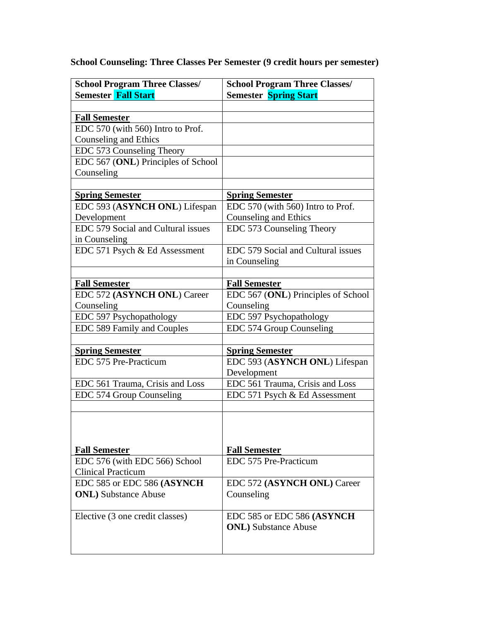**School Counseling: Three Classes Per Semester (9 credit hours per semester)**

| <b>School Program Three Classes/</b> | <b>School Program Three Classes/</b> |
|--------------------------------------|--------------------------------------|
| <b>Semester Fall Start</b>           | <b>Semester Spring Start</b>         |
|                                      |                                      |
| <b>Fall Semester</b>                 |                                      |
| EDC 570 (with 560) Intro to Prof.    |                                      |
| Counseling and Ethics                |                                      |
| EDC 573 Counseling Theory            |                                      |
| EDC 567 (ONL) Principles of School   |                                      |
| Counseling                           |                                      |
|                                      |                                      |
| <b>Spring Semester</b>               | <b>Spring Semester</b>               |
| EDC 593 (ASYNCH ONL) Lifespan        | EDC 570 (with 560) Intro to Prof.    |
| Development                          | Counseling and Ethics                |
| EDC 579 Social and Cultural issues   | EDC 573 Counseling Theory            |
| in Counseling                        |                                      |
| EDC 571 Psych & Ed Assessment        | EDC 579 Social and Cultural issues   |
|                                      | in Counseling                        |
|                                      |                                      |
| <b>Fall Semester</b>                 | <b>Fall Semester</b>                 |
| EDC 572 (ASYNCH ONL) Career          | EDC 567 (ONL) Principles of School   |
| Counseling                           | Counseling                           |
| EDC 597 Psychopathology              | EDC 597 Psychopathology              |
| EDC 589 Family and Couples           | EDC 574 Group Counseling             |
|                                      |                                      |
| <b>Spring Semester</b>               | <b>Spring Semester</b>               |
| EDC 575 Pre-Practicum                | EDC 593 (ASYNCH ONL) Lifespan        |
|                                      | Development                          |
| EDC 561 Trauma, Crisis and Loss      | EDC 561 Trauma, Crisis and Loss      |
| EDC 574 Group Counseling             | EDC 571 Psych & Ed Assessment        |
|                                      |                                      |
|                                      |                                      |
|                                      |                                      |
|                                      |                                      |
| <b>Fall Semester</b>                 | <b>Fall Semester</b>                 |
| EDC 576 (with EDC 566) School        | EDC 575 Pre-Practicum                |
| <b>Clinical Practicum</b>            |                                      |
| EDC 585 or EDC 586 (ASYNCH           | EDC 572 (ASYNCH ONL) Career          |
| <b>ONL</b> ) Substance Abuse         | Counseling                           |
|                                      |                                      |
| Elective (3 one credit classes)      | EDC 585 or EDC 586 (ASYNCH           |
|                                      | <b>ONL</b> ) Substance Abuse         |
|                                      |                                      |
|                                      |                                      |